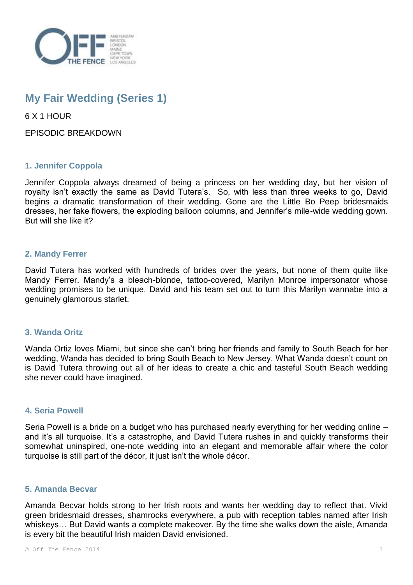

# **My Fair Wedding (Series 1)**

6 X 1 HOUR

EPISODIC BREAKDOWN

## **1. Jennifer Coppola**

Jennifer Coppola always dreamed of being a princess on her wedding day, but her vision of royalty isn't exactly the same as David Tutera's. So, with less than three weeks to go, David begins a dramatic transformation of their wedding. Gone are the Little Bo Peep bridesmaids dresses, her fake flowers, the exploding balloon columns, and Jennifer's mile-wide wedding gown. But will she like it?

### **2. Mandy Ferrer**

David Tutera has worked with hundreds of brides over the years, but none of them quite like Mandy Ferrer. Mandy's a bleach-blonde, tattoo-covered, Marilyn Monroe impersonator whose wedding promises to be unique. David and his team set out to turn this Marilyn wannabe into a genuinely glamorous starlet.

#### **3. Wanda Oritz**

Wanda Ortiz loves Miami, but since she can't bring her friends and family to South Beach for her wedding, Wanda has decided to bring South Beach to New Jersey. What Wanda doesn't count on is David Tutera throwing out all of her ideas to create a chic and tasteful South Beach wedding she never could have imagined.

#### **4. Seria Powell**

Seria Powell is a bride on a budget who has purchased nearly everything for her wedding online – and it's all turquoise. It's a catastrophe, and David Tutera rushes in and quickly transforms their somewhat uninspired, one-note wedding into an elegant and memorable affair where the color turquoise is still part of the décor, it just isn't the whole décor.

#### **5. Amanda Becvar**

Amanda Becvar holds strong to her Irish roots and wants her wedding day to reflect that. Vivid green bridesmaid dresses, shamrocks everywhere, a pub with reception tables named after Irish whiskeys… But David wants a complete makeover. By the time she walks down the aisle, Amanda is every bit the beautiful Irish maiden David envisioned.